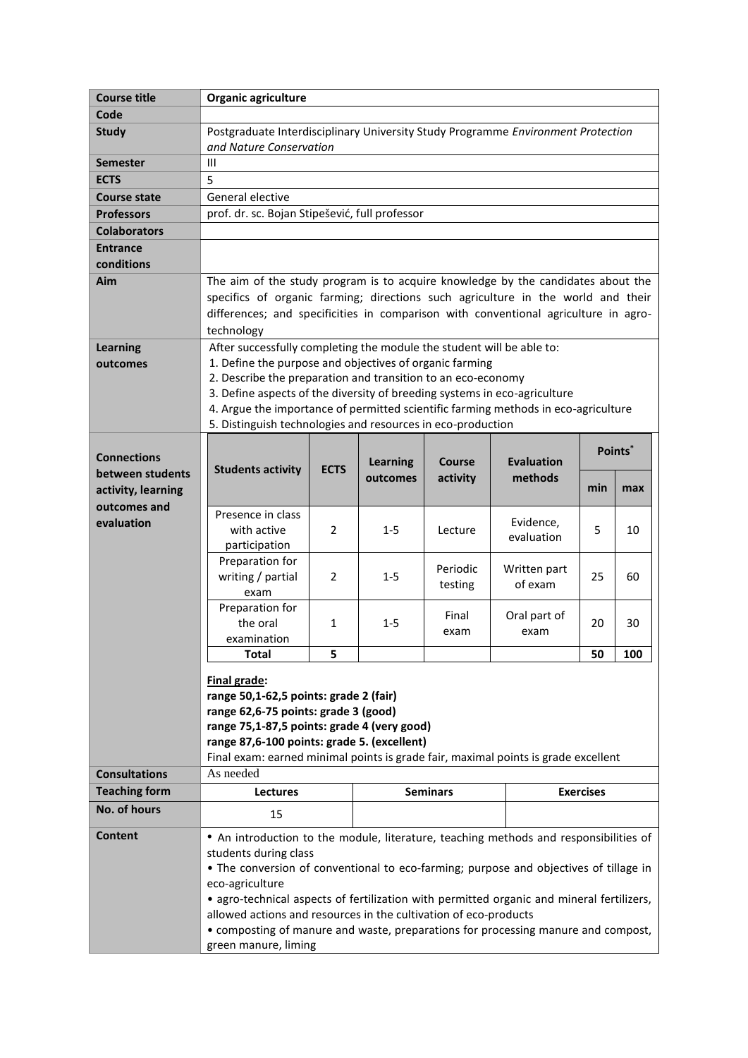|                      | Organic agriculture                                                                                                                                                                                                                                                                                                                                                                                                                                                                                      |             |                 |                    |                              |                  |     |  |
|----------------------|----------------------------------------------------------------------------------------------------------------------------------------------------------------------------------------------------------------------------------------------------------------------------------------------------------------------------------------------------------------------------------------------------------------------------------------------------------------------------------------------------------|-------------|-----------------|--------------------|------------------------------|------------------|-----|--|
| Code                 |                                                                                                                                                                                                                                                                                                                                                                                                                                                                                                          |             |                 |                    |                              |                  |     |  |
| <b>Study</b>         | Postgraduate Interdisciplinary University Study Programme Environment Protection<br>and Nature Conservation                                                                                                                                                                                                                                                                                                                                                                                              |             |                 |                    |                              |                  |     |  |
| <b>Semester</b>      | Ш                                                                                                                                                                                                                                                                                                                                                                                                                                                                                                        |             |                 |                    |                              |                  |     |  |
| <b>ECTS</b>          | 5                                                                                                                                                                                                                                                                                                                                                                                                                                                                                                        |             |                 |                    |                              |                  |     |  |
| <b>Course state</b>  | General elective                                                                                                                                                                                                                                                                                                                                                                                                                                                                                         |             |                 |                    |                              |                  |     |  |
| <b>Professors</b>    | prof. dr. sc. Bojan Stipešević, full professor                                                                                                                                                                                                                                                                                                                                                                                                                                                           |             |                 |                    |                              |                  |     |  |
| <b>Colaborators</b>  |                                                                                                                                                                                                                                                                                                                                                                                                                                                                                                          |             |                 |                    |                              |                  |     |  |
| <b>Entrance</b>      |                                                                                                                                                                                                                                                                                                                                                                                                                                                                                                          |             |                 |                    |                              |                  |     |  |
| conditions           |                                                                                                                                                                                                                                                                                                                                                                                                                                                                                                          |             |                 |                    |                              |                  |     |  |
| Aim                  | The aim of the study program is to acquire knowledge by the candidates about the                                                                                                                                                                                                                                                                                                                                                                                                                         |             |                 |                    |                              |                  |     |  |
|                      | specifics of organic farming; directions such agriculture in the world and their<br>differences; and specificities in comparison with conventional agriculture in agro-<br>technology                                                                                                                                                                                                                                                                                                                    |             |                 |                    |                              |                  |     |  |
| <b>Learning</b>      | After successfully completing the module the student will be able to:                                                                                                                                                                                                                                                                                                                                                                                                                                    |             |                 |                    |                              |                  |     |  |
| outcomes             | 1. Define the purpose and objectives of organic farming<br>2. Describe the preparation and transition to an eco-economy<br>3. Define aspects of the diversity of breeding systems in eco-agriculture<br>4. Argue the importance of permitted scientific farming methods in eco-agriculture<br>5. Distinguish technologies and resources in eco-production                                                                                                                                                |             |                 |                    |                              |                  |     |  |
|                      |                                                                                                                                                                                                                                                                                                                                                                                                                                                                                                          |             |                 |                    |                              |                  |     |  |
|                      |                                                                                                                                                                                                                                                                                                                                                                                                                                                                                                          |             |                 |                    |                              |                  |     |  |
|                      |                                                                                                                                                                                                                                                                                                                                                                                                                                                                                                          |             |                 |                    |                              |                  |     |  |
|                      |                                                                                                                                                                                                                                                                                                                                                                                                                                                                                                          |             |                 |                    |                              |                  |     |  |
| <b>Connections</b>   | <b>Students activity</b>                                                                                                                                                                                                                                                                                                                                                                                                                                                                                 | <b>ECTS</b> |                 |                    | <b>Evaluation</b><br>methods | Points*          |     |  |
| between students     |                                                                                                                                                                                                                                                                                                                                                                                                                                                                                                          |             | <b>Learning</b> | Course<br>activity |                              |                  |     |  |
| activity, learning   |                                                                                                                                                                                                                                                                                                                                                                                                                                                                                                          |             | outcomes        |                    |                              | min              | max |  |
| outcomes and         |                                                                                                                                                                                                                                                                                                                                                                                                                                                                                                          |             |                 |                    |                              |                  |     |  |
| evaluation           | Presence in class                                                                                                                                                                                                                                                                                                                                                                                                                                                                                        |             |                 | Lecture            | Evidence,<br>evaluation      |                  |     |  |
|                      | with active<br>participation                                                                                                                                                                                                                                                                                                                                                                                                                                                                             | 2           | $1 - 5$         |                    |                              | 5                | 10  |  |
|                      | Preparation for                                                                                                                                                                                                                                                                                                                                                                                                                                                                                          |             |                 |                    |                              |                  |     |  |
|                      | writing / partial                                                                                                                                                                                                                                                                                                                                                                                                                                                                                        | 2           | $1 - 5$         | Periodic           | Written part                 | 25               | 60  |  |
|                      | exam                                                                                                                                                                                                                                                                                                                                                                                                                                                                                                     |             |                 | testing            | of exam                      |                  |     |  |
|                      | Preparation for                                                                                                                                                                                                                                                                                                                                                                                                                                                                                          |             |                 | Final              | Oral part of                 |                  |     |  |
|                      | the oral                                                                                                                                                                                                                                                                                                                                                                                                                                                                                                 | 1           | $1 - 5$         |                    |                              | 20               | 30  |  |
|                      | examination                                                                                                                                                                                                                                                                                                                                                                                                                                                                                              |             |                 | exam               | exam                         |                  |     |  |
|                      | <b>Total</b>                                                                                                                                                                                                                                                                                                                                                                                                                                                                                             | 5           |                 |                    |                              | 50               | 100 |  |
|                      | Final grade:<br>range 50,1-62,5 points: grade 2 (fair)<br>range 62,6-75 points: grade 3 (good)<br>range 75,1-87,5 points: grade 4 (very good)<br>range 87,6-100 points: grade 5. (excellent)<br>Final exam: earned minimal points is grade fair, maximal points is grade excellent                                                                                                                                                                                                                       |             |                 |                    |                              |                  |     |  |
| <b>Consultations</b> | As needed                                                                                                                                                                                                                                                                                                                                                                                                                                                                                                |             |                 |                    |                              |                  |     |  |
| <b>Teaching form</b> | <b>Lectures</b>                                                                                                                                                                                                                                                                                                                                                                                                                                                                                          |             | <b>Seminars</b> |                    |                              | <b>Exercises</b> |     |  |
| No. of hours         | 15                                                                                                                                                                                                                                                                                                                                                                                                                                                                                                       |             |                 |                    |                              |                  |     |  |
| <b>Content</b>       | • An introduction to the module, literature, teaching methods and responsibilities of<br>students during class<br>• The conversion of conventional to eco-farming; purpose and objectives of tillage in<br>eco-agriculture<br>• agro-technical aspects of fertilization with permitted organic and mineral fertilizers,<br>allowed actions and resources in the cultivation of eco-products<br>• composting of manure and waste, preparations for processing manure and compost,<br>green manure, liming |             |                 |                    |                              |                  |     |  |